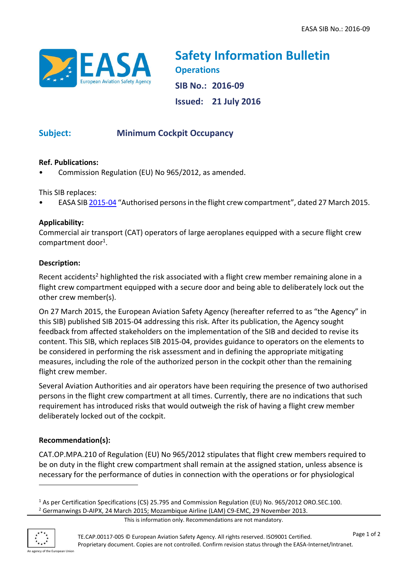

**Safety Information Bulletin Operations SIB No.: 2016-09 Issued: 21 July 2016**

# **Subject: Minimum Cockpit Occupancy**

### **Ref. Publications:**

• Commission Regulation (EU) No 965/2012, as amended.

This SIB replaces:

• EASA SI[B 2015-04](http://ad.easa.europa.eu/ad/2015-04) "Authorised persons in the flight crew compartment", dated 27 March 2015.

### **Applicability:**

Commercial air transport (CAT) operators of large aeroplanes equipped with a secure flight crew compartment door<sup>1</sup>.

### **Description:**

Recent accidents<sup>2</sup> highlighted the risk associated with a flight crew member remaining alone in a flight crew compartment equipped with a secure door and being able to deliberately lock out the other crew member(s).

On 27 March 2015, the European Aviation Safety Agency (hereafter referred to as "the Agency" in this SIB) published SIB 2015-04 addressing this risk. After its publication, the Agency sought feedback from affected stakeholders on the implementation of the SIB and decided to revise its content. This SIB, which replaces SIB 2015-04, provides guidance to operators on the elements to be considered in performing the risk assessment and in defining the appropriate mitigating measures, including the role of the authorized person in the cockpit other than the remaining flight crew member.

Several Aviation Authorities and air operators have been requiring the presence of two authorised persons in the flight crew compartment at all times. Currently, there are no indications that such requirement has introduced risks that would outweigh the risk of having a flight crew member deliberately locked out of the cockpit.

# **Recommendation(s):**

CAT.OP.MPA.210 of Regulation (EU) No 965/2012 stipulates that flight crew members required to be on duty in the flight crew compartment shall remain at the assigned station, unless absence is necessary for the performance of duties in connection with the operations or for physiological

This is information only. Recommendations are not mandatory.



**.** 

<sup>1</sup> As per Certification Specifications (CS) 25.795 and Commission Regulation (EU) No. 965/2012 ORO.SEC.100. <sup>2</sup> Germanwings D-AIPX, 24 March 2015; Mozambique Airline (LAM) C9-EMC, 29 November 2013.